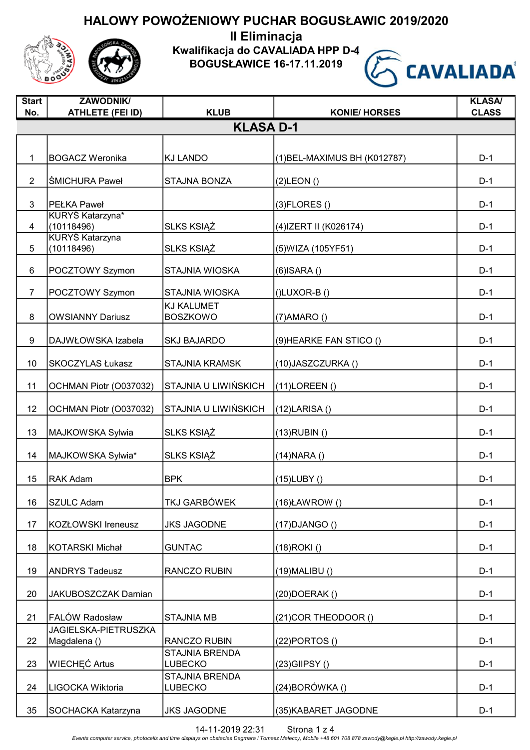

Kwalifikacja do CAVALIADA HPP D-4

BOGUSŁAWICE 16-17.11.2019



| <b>Start</b><br>No. | <b>ZAWODNIK/</b><br><b>ATHLETE (FEI ID)</b> | <b>KLUB</b>                             | <b>KONIE/ HORSES</b>         | <b>KLASA/</b><br><b>CLASS</b> |
|---------------------|---------------------------------------------|-----------------------------------------|------------------------------|-------------------------------|
|                     |                                             | <b>KLASA D-1</b>                        |                              |                               |
|                     |                                             |                                         |                              |                               |
| $\mathbf{1}$        | <b>BOGACZ Weronika</b>                      | <b>KJ LANDO</b>                         | (1) BEL-MAXIMUS BH (K012787) | $D-1$                         |
| $\overline{2}$      | <b>SMICHURA Paweł</b>                       | <b>STAJNA BONZA</b>                     | $(2)$ LEON $()$              | $D-1$                         |
| 3                   | <b>PEŁKA Paweł</b>                          |                                         | $(3)$ FLORES $()$            | $D-1$                         |
| $\overline{4}$      | KURYŚ Katarzyna*<br>(10118496)              | <b>SLKS KSIĄŻ</b>                       | (4) IZERT II (K026174)       | $D-1$                         |
| 5                   | <b>KURYŚ Katarzyna</b><br>(10118496)        | SLKS KSIĄŻ                              | (5) WIZA (105 YF 51)         | $D-1$                         |
| 6                   | POCZTOWY Szymon                             | STAJNIA WIOSKA                          | $(6)$ ISARA $()$             | $D-1$                         |
| $\overline{7}$      | POCZTOWY Szymon                             | <b>STAJNIA WIOSKA</b>                   | $(I)$ LUXOR-B $(I)$          | $D-1$                         |
| 8                   | <b>OWSIANNY Dariusz</b>                     | <b>KJ KALUMET</b><br><b>BOSZKOWO</b>    | $(7)$ AMARO $()$             | $D-1$                         |
| 9                   | DAJWŁOWSKA Izabela                          | <b>SKJ BAJARDO</b>                      | (9) HEARKE FAN STICO ()      | $D-1$                         |
| 10                  | <b>SKOCZYLAS Łukasz</b>                     | <b>STAJNIA KRAMSK</b>                   | (10) JASZCZURKA ()           | $D-1$                         |
| 11                  | OCHMAN Piotr (O037032)                      | STAJNIA U LIWIŃSKICH                    | $(11)$ LOREEN $()$           | $D-1$                         |
| 12                  | OCHMAN Piotr (O037032)                      | STAJNIA U LIWIŃSKICH                    | $(12)$ LARISA $()$           | $D-1$                         |
| 13                  | MAJKOWSKA Sylwia                            | SLKS KSIĄŻ                              | $(13)$ RUBIN $()$            | $D-1$                         |
| 14                  | MAJKOWSKA Sylwia*                           | <b>SLKS KSIĄŻ</b>                       | $(14)$ NARA $()$             | $D-1$                         |
| 15                  | <b>RAK Adam</b>                             | <b>BPK</b>                              | $(15)$ LUBY $()$             | $D-1$                         |
| 16                  | <b>SZULC Adam</b>                           | TKJ GARBÓWEK                            | $(16)$ ŁAWROW $()$           | $D-1$                         |
| 17                  | KOZŁOWSKI Ireneusz                          | <b>JKS JAGODNE</b>                      | $(17)$ DJANGO $()$           | $D-1$                         |
| 18                  | KOTARSKI Michał                             | <b>GUNTAC</b>                           | (18)ROKI()                   | $D-1$                         |
| 19                  | <b>ANDRYS Tadeusz</b>                       | RANCZO RUBIN                            | $(19)$ MALIBU $()$           | $D-1$                         |
| 20                  | JAKUBOSZCZAK Damian                         |                                         | (20)DOERAK()                 | $D-1$                         |
| 21                  | FALÓW Radosław                              | <b>STAJNIA MB</b>                       | (21) COR THEODOOR ()         | $D-1$                         |
| 22                  | <b>JAGIELSKA-PIETRUSZKA</b><br>Magdalena () | <b>RANCZO RUBIN</b>                     | $(22)$ PORTOS $()$           | $D-1$                         |
| 23                  | <b>WIECHEC Artus</b>                        | <b>STAJNIA BRENDA</b><br><b>LUBECKO</b> | (23) GIIPSY ()               | $D-1$                         |
| 24                  | LIGOCKA Wiktoria                            | <b>STAJNIA BRENDA</b><br>LUBECKO        | (24)BORÓWKA ()               | $D-1$                         |
| 35                  | SOCHACKA Katarzyna                          | <b>JKS JAGODNE</b>                      | (35) KABARET JAGODNE         | $D-1$                         |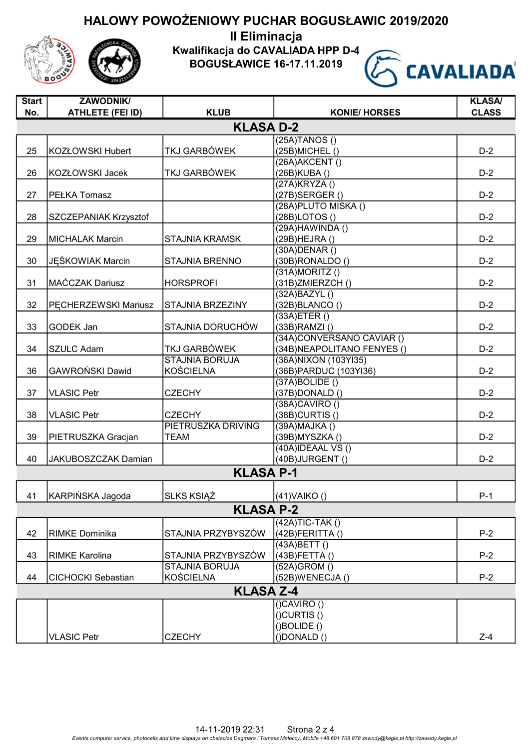II Eliminacja

Kwalifikacja do CAVALIADA HPP D-4

BOGUSŁAWICE 16-17.11.2019



| <b>Start</b> | <b>ZAWODNIK/</b>             |                         |                            | <b>KLASA/</b> |  |  |
|--------------|------------------------------|-------------------------|----------------------------|---------------|--|--|
| No.          | <b>ATHLETE (FEI ID)</b>      | <b>KLUB</b>             | <b>KONIE/ HORSES</b>       | <b>CLASS</b>  |  |  |
|              | <b>KLASA D-2</b>             |                         |                            |               |  |  |
|              |                              |                         | $(25A)$ TANOS $()$         |               |  |  |
| 25           | <b>KOZŁOWSKI Hubert</b>      | TKJ GARBÓWEK            | (25B) MICHEL ()            | $D-2$         |  |  |
|              |                              |                         | (26A) AKCENT ()            |               |  |  |
| 26           | <b>KOZŁOWSKI Jacek</b>       | TKJ GARBÓWEK            | (26B)KUBA()                | $D-2$         |  |  |
|              |                              |                         | (27A)KRYZA()               |               |  |  |
| 27           | <b>PEŁKA Tomasz</b>          |                         | (27B) SERGER()             | $D-2$         |  |  |
|              |                              |                         | (28A) PLUTO MISKA ()       |               |  |  |
| 28           | <b>SZCZEPANIAK Krzysztof</b> |                         | (28B)LOTOS()               | $D-2$         |  |  |
|              |                              |                         | $(29A)$ HAWINDA $()$       |               |  |  |
| 29           | <b>MICHALAK Marcin</b>       | <b>STAJNIA KRAMSK</b>   | (29B) HEJRA ()             | $D-2$         |  |  |
|              |                              |                         | $(30A)$ DENAR $()$         |               |  |  |
| 30           | JĘŚKOWIAK Marcin             | <b>STAJNIA BRENNO</b>   | $(30B)$ RONALDO $()$       | $D-2$         |  |  |
|              |                              |                         | $(31A)$ MORITZ $()$        |               |  |  |
| 31           | MAĆCZAK Dariusz              | <b>HORSPROFI</b>        | (31B)ZMIERZCH()            | $D-2$         |  |  |
|              |                              |                         | (32A)BAZYL()               |               |  |  |
| 32           | PECHERZEWSKI Mariusz         | <b>STAJNIA BRZEZINY</b> | (32B)BLANCO()              | $D-2$         |  |  |
|              |                              |                         | $(33A)$ ETER $()$          |               |  |  |
| 33           | GODEK Jan                    | STAJNIA DORUCHÓW        | $(33B)$ RAMZI $()$         | $D-2$         |  |  |
|              |                              |                         | (34A)CONVERSANO CAVIAR ()  |               |  |  |
| 34           | <b>SZULC Adam</b>            | TKJ GARBÓWEK            | (34B)NEAPOLITANO FENYES () | $D-2$         |  |  |
|              |                              | <b>STAJNIA BORUJA</b>   | (36A) NIXON (103YI35)      |               |  |  |
| 36           | GAWROŃSKI Dawid              | <b>KOŚCIELNA</b>        | (36B) PARDUC (103Y136)     | $D-2$         |  |  |
|              |                              |                         | (37A)BOLIDE()              |               |  |  |
| 37           | <b>VLASIC Petr</b>           | <b>CZECHY</b>           | $(37B)$ DONALD $()$        | $D-2$         |  |  |
|              |                              |                         | (38A)CAVIRO()              |               |  |  |
| 38           | <b>VLASIC Petr</b>           | <b>CZECHY</b>           | $(38B)$ CURTIS $()$        | $D-2$         |  |  |
|              |                              | PIETRUSZKA DRIVING      | (39A)MAJKA()               |               |  |  |
| 39           | PIETRUSZKA Gracjan           | <b>TEAM</b>             | (39B) MYSZKA ()            | $D-2$         |  |  |
|              |                              |                         | $(40A)$ IDEAAL VS $()$     |               |  |  |
| 40           | JAKUBOSZCZAK Damian          |                         | (40B)JURGENT()             | $D-2$         |  |  |
|              |                              | <b>KLASA P-1</b>        |                            |               |  |  |
|              |                              |                         |                            |               |  |  |
| 41           | KARPIŃSKA Jagoda             | <b>SLKS KSIĄŻ</b>       | $(41)$ VAIKO ()            | $P-1$         |  |  |
|              |                              |                         |                            |               |  |  |
|              |                              | <b>KLASA P-2</b>        |                            |               |  |  |
|              |                              |                         | $(42A)TIC-TAK()$           |               |  |  |
| 42           | <b>RIMKE Dominika</b>        | STAJNIA PRZYBYSZÓW      | $(42B)$ FERITTA $()$       | $P-2$         |  |  |
|              |                              |                         | (43A)BETT()                |               |  |  |
| 43           | <b>RIMKE Karolina</b>        | STAJNIA PRZYBYSZÓW      | $(43B)$ FETTA $()$         | $P-2$         |  |  |
|              |                              | <b>STAJNIA BORUJA</b>   | $(52A)$ GROM $()$          |               |  |  |
| 44           | <b>CICHOCKI Sebastian</b>    | <b>KOŚCIELNA</b>        | (52B)WENECJA()             | $P-2$         |  |  |
|              |                              | <b>KLASA Z-4</b>        |                            |               |  |  |
|              |                              |                         | $()$ CAVIRO $()$           |               |  |  |
|              |                              |                         | $()$ CURTIS $()$           |               |  |  |
|              |                              |                         | ()BOLIDE()                 |               |  |  |
|              | <b>VLASIC Petr</b>           | <b>CZECHY</b>           | $( )$ DONALD $( )$         | $Z-4$         |  |  |
|              |                              |                         |                            |               |  |  |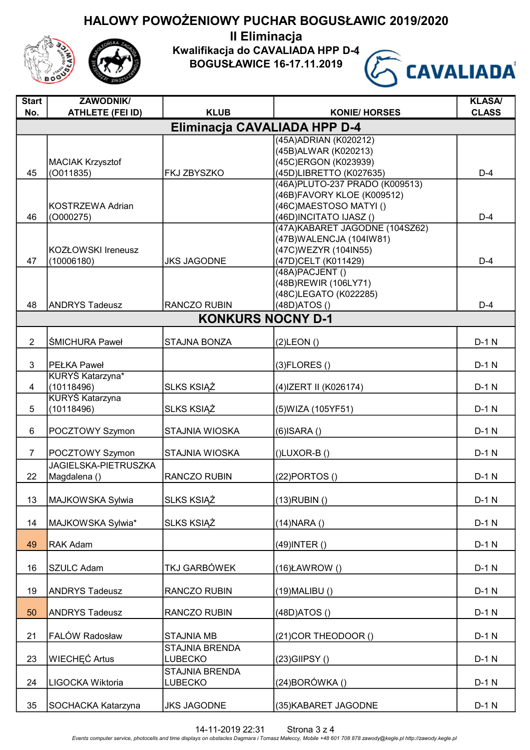II Eliminacja

Kwalifikacja do CAVALIADA HPP D-4

BOGUSŁAWICE 16-17.11.2019



| <b>Start</b>   | <b>ZAWODNIK/</b>                               |                              |                                          | <b>KLASA/</b> |
|----------------|------------------------------------------------|------------------------------|------------------------------------------|---------------|
| No.            | <b>ATHLETE (FEI ID)</b>                        | <b>KLUB</b>                  | <b>KONIE/ HORSES</b>                     | <b>CLASS</b>  |
|                |                                                | Eliminacja CAVALIADA HPP D-4 |                                          |               |
|                |                                                |                              | (45A) ADRIAN (K020212)                   |               |
|                |                                                |                              | (45B) ALWAR (K020213)                    |               |
|                | <b>MACIAK Krzysztof</b>                        |                              | (45C)ERGON (K023939)                     |               |
| 45             | (0011835)                                      | FKJ ZBYSZKO                  | (45D)LIBRETTO (K027635)                  | $D-4$         |
|                |                                                |                              | (46A) PLUTO-237 PRADO (K009513)          |               |
|                |                                                |                              | (46B)FAVORY KLOE (K009512)               |               |
|                | <b>KOSTRZEWA Adrian</b>                        |                              | (46C) MAESTOSO MATYI ()                  |               |
| 46             | (O000275)                                      |                              | (46D)INCITATO IJASZ ()                   | $D-4$         |
|                |                                                |                              | (47A) KABARET JAGODNE (104SZ62)          |               |
|                |                                                |                              | (47B) WALENCJA (104IW81)                 |               |
|                | KOZŁOWSKI Ireneusz                             |                              | (47C) WEZYR (104IN55)                    | $D-4$         |
| 47             | (10006180)                                     | <b>JKS JAGODNE</b>           | (47D)CELT (K011429)                      |               |
|                |                                                |                              | (48A) PACJENT ()<br>(48B)REWIR (106LY71) |               |
|                |                                                |                              | (48C)LEGATO (K022285)                    |               |
| 48             | <b>ANDRYS Tadeusz</b>                          | RANCZO RUBIN                 | (48D)ATOS()                              | $D-4$         |
|                |                                                |                              |                                          |               |
|                |                                                | <b>KONKURS NOCNY D-1</b>     |                                          |               |
| $\overline{2}$ | <b>ŚMICHURA Paweł</b>                          | <b>STAJNA BONZA</b>          | $(2)$ LEON $()$                          | $D-1$ N       |
|                |                                                |                              |                                          |               |
| 3              | <b>PEŁKA Paweł</b>                             |                              | $(3)$ FLORES $()$                        | $D-1$ N       |
|                | KURYŚ Katarzyna*                               |                              |                                          |               |
| 4              | (10118496)                                     | <b>SLKS KSIAZ</b>            | (4) IZERT II (K026174)                   | $D-1$ N       |
|                | <b>KURYŚ Katarzyna</b>                         |                              |                                          |               |
| 5              | (10118496)                                     | <b>SLKS KSIAZ</b>            | (5) WIZA (105 YF 51)                     | $D-1$ N       |
|                |                                                |                              |                                          |               |
| 6              | POCZTOWY Szymon                                | STAJNIA WIOSKA               | $(6)$ ISARA $()$                         | $D-1$ N       |
|                |                                                | <b>STAJNIA WIOSKA</b>        |                                          | $D-1$ N       |
| $\overline{7}$ | POCZTOWY Szymon<br><b>JAGIELSKA-PIETRUSZKA</b> |                              | $()$ LUXOR-B $()$                        |               |
| 22             | Magdalena ()                                   | RANCZO RUBIN                 | $(22)$ PORTOS $()$                       | $D-1$ N       |
|                |                                                |                              |                                          |               |
| 13             | MAJKOWSKA Sylwia                               | <b>SLKS KSIĄŻ</b>            | $(13)$ RUBIN $()$                        | $D-1$ N       |
|                |                                                |                              |                                          |               |
| 14             | MAJKOWSKA Sylwia*                              | <b>SLKS KSIĄŻ</b>            | $(14)$ NARA $()$                         | $D-1$ N       |
|                |                                                |                              |                                          |               |
| 49             | RAK Adam                                       |                              | $(49)$ INTER $()$                        | $D-1$ N       |
|                |                                                |                              |                                          |               |
| 16             | <b>SZULC Adam</b>                              | TKJ GARBÓWEK                 | $(16)$ ŁAWROW $()$                       | $D-1$ N       |
|                |                                                |                              |                                          |               |
| 19             | <b>ANDRYS Tadeusz</b>                          | RANCZO RUBIN                 | $(19)$ MALIBU $()$                       | $D-1$ N       |
|                |                                                |                              |                                          |               |
| 50             | <b>ANDRYS Tadeusz</b>                          | RANCZO RUBIN                 | (48D)ATOS()                              | $D-1$ N       |
|                |                                                |                              |                                          |               |
| 21             | FALÓW Radosław                                 | <b>STAJNIA MB</b>            | (21) COR THEODOOR ()                     | $D-1 N$       |
|                | <b>WIECHEC Artus</b>                           | STAJNIA BRENDA               |                                          | $D-1$ N       |
| 23             |                                                | <b>LUBECKO</b>               | $(23)$ GIIPSY $()$                       |               |
|                |                                                | STAJNIA BRENDA               |                                          |               |
| 24             | LIGOCKA Wiktoria                               | <b>LUBECKO</b>               | $(24)$ BORÓWKA $()$                      | $D-1$ N       |
| 35             | SOCHACKA Katarzyna                             | <b>JKS JAGODNE</b>           | (35) KABARET JAGODNE                     | $D-1 N$       |
|                |                                                |                              |                                          |               |